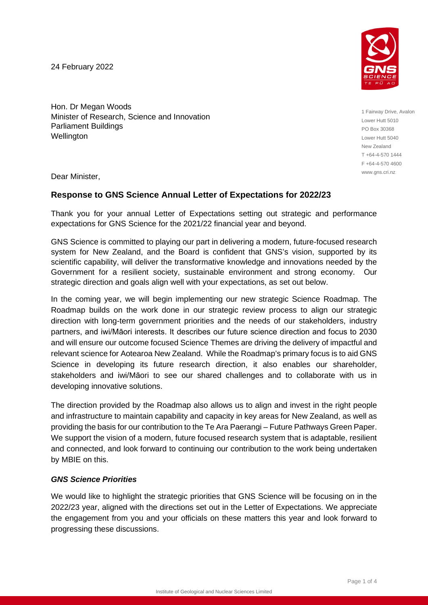24 February 2022



Hon. Dr Megan Woods Minister of Research, Science and Innovation Parliament Buildings Wellington

1 Fairway Drive, Avalon Lower Hutt 5010 PO Box 30368 Lower Hutt 5040 New Zealand T +64-4-570 1444 F +64-4-570 4600 www.gns.cri.nz

Dear Minister,

## **Response to GNS Science Annual Letter of Expectations for 2022/23**

Thank you for your annual Letter of Expectations setting out strategic and performance expectations for GNS Science for the 2021/22 financial year and beyond.

GNS Science is committed to playing our part in delivering a modern, future-focused research system for New Zealand, and the Board is confident that GNS's vision, supported by its scientific capability, will deliver the transformative knowledge and innovations needed by the Government for a resilient society, sustainable environment and strong economy. Our strategic direction and goals align well with your expectations, as set out below.

In the coming year, we will begin implementing our new strategic Science Roadmap. The Roadmap builds on the work done in our strategic review process to align our strategic direction with long-term government priorities and the needs of our stakeholders, industry partners, and iwi/Māori interests. It describes our future science direction and focus to 2030 and will ensure our outcome focused Science Themes are driving the delivery of impactful and relevant science for Aotearoa New Zealand. While the Roadmap's primary focus is to aid GNS Science in developing its future research direction, it also enables our shareholder, stakeholders and iwi/Māori to see our shared challenges and to collaborate with us in developing innovative solutions.

The direction provided by the Roadmap also allows us to align and invest in the right people and infrastructure to maintain capability and capacity in key areas for New Zealand, as well as providing the basis for our contribution to the Te Ara Paerangi – Future Pathways Green Paper. We support the vision of a modern, future focused research system that is adaptable, resilient and connected, and look forward to continuing our contribution to the work being undertaken by MBIE on this.

## *GNS Science Priorities*

We would like to highlight the strategic priorities that GNS Science will be focusing on in the 2022/23 year, aligned with the directions set out in the Letter of Expectations. We appreciate the engagement from you and your officials on these matters this year and look forward to progressing these discussions.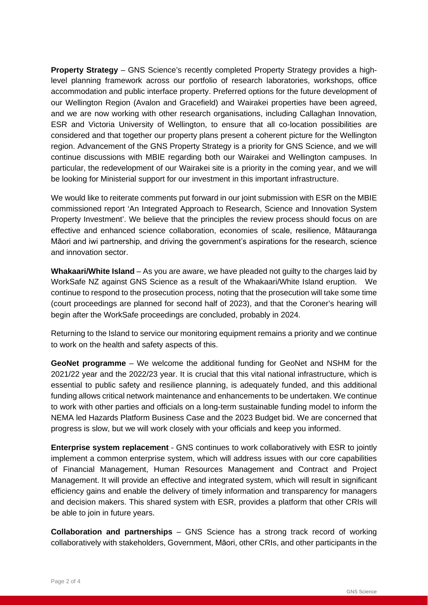**Property Strategy** – GNS Science's recently completed Property Strategy provides a highlevel planning framework across our portfolio of research laboratories, workshops, office accommodation and public interface property. Preferred options for the future development of our Wellington Region (Avalon and Gracefield) and Wairakei properties have been agreed, and we are now working with other research organisations, including Callaghan Innovation, ESR and Victoria University of Wellington, to ensure that all co-location possibilities are considered and that together our property plans present a coherent picture for the Wellington region. Advancement of the GNS Property Strategy is a priority for GNS Science, and we will continue discussions with MBIE regarding both our Wairakei and Wellington campuses. In particular, the redevelopment of our Wairakei site is a priority in the coming year, and we will be looking for Ministerial support for our investment in this important infrastructure.

We would like to reiterate comments put forward in our joint submission with ESR on the MBIE commissioned report 'An Integrated Approach to Research, Science and Innovation System Property Investment'. We believe that the principles the review process should focus on are effective and enhanced science collaboration, economies of scale, resilience, Mātauranga Māori and iwi partnership, and driving the government's aspirations for the research, science and innovation sector.

**Whakaari/White Island** – As you are aware, we have pleaded not guilty to the charges laid by WorkSafe NZ against GNS Science as a result of the Whakaari/White Island eruption. We continue to respond to the prosecution process, noting that the prosecution will take some time (court proceedings are planned for second half of 2023), and that the Coroner's hearing will begin after the WorkSafe proceedings are concluded, probably in 2024.

Returning to the Island to service our monitoring equipment remains a priority and we continue to work on the health and safety aspects of this.

**GeoNet programme** – We welcome the additional funding for GeoNet and NSHM for the 2021/22 year and the 2022/23 year. It is crucial that this vital national infrastructure, which is essential to public safety and resilience planning, is adequately funded, and this additional funding allows critical network maintenance and enhancements to be undertaken. We continue to work with other parties and officials on a long-term sustainable funding model to inform the NEMA led Hazards Platform Business Case and the 2023 Budget bid. We are concerned that progress is slow, but we will work closely with your officials and keep you informed.

**Enterprise system replacement** - GNS continues to work collaboratively with ESR to jointly implement a common enterprise system, which will address issues with our core capabilities of Financial Management, Human Resources Management and Contract and Project Management. It will provide an effective and integrated system, which will result in significant efficiency gains and enable the delivery of timely information and transparency for managers and decision makers. This shared system with ESR, provides a platform that other CRIs will be able to join in future years.

**Collaboration and partnerships** – GNS Science has a strong track record of working collaboratively with stakeholders, Government, Māori, other CRIs, and other participants in the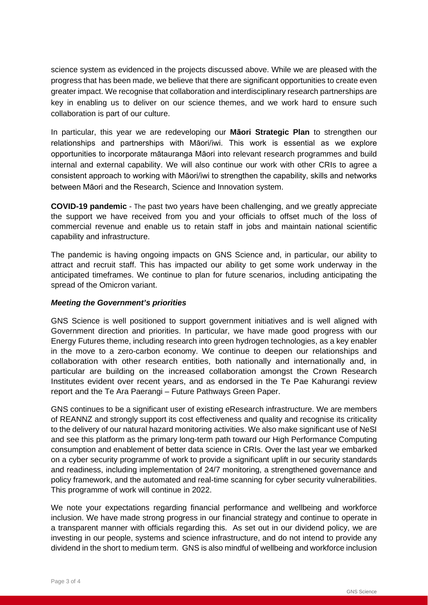science system as evidenced in the projects discussed above. While we are pleased with the progress that has been made, we believe that there are significant opportunities to create even greater impact. We recognise that collaboration and interdisciplinary research partnerships are key in enabling us to deliver on our science themes, and we work hard to ensure such collaboration is part of our culture.

In particular, this year we are redeveloping our **Māori Strategic Plan** to strengthen our relationships and partnerships with Māori/iwi. This work is essential as we explore opportunities to incorporate mātauranga Māori into relevant research programmes and build internal and external capability. We will also continue our work with other CRIs to agree a consistent approach to working with Māori/iwi to strengthen the capability, skills and networks between Māori and the Research, Science and Innovation system.

**COVID-19 pandemic** - The past two years have been challenging, and we greatly appreciate the support we have received from you and your officials to offset much of the loss of commercial revenue and enable us to retain staff in jobs and maintain national scientific capability and infrastructure.

The pandemic is having ongoing impacts on GNS Science and, in particular, our ability to attract and recruit staff. This has impacted our ability to get some work underway in the anticipated timeframes. We continue to plan for future scenarios, including anticipating the spread of the Omicron variant.

## *Meeting the Government's priorities*

GNS Science is well positioned to support government initiatives and is well aligned with Government direction and priorities. In particular, we have made good progress with our Energy Futures theme, including research into green hydrogen technologies, as a key enabler in the move to a zero-carbon economy. We continue to deepen our relationships and collaboration with other research entities, both nationally and internationally and, in particular are building on the increased collaboration amongst the Crown Research Institutes evident over recent years, and as endorsed in the Te Pae Kahurangi review report and the Te Ara Paerangi – Future Pathways Green Paper.

GNS continues to be a significant user of existing eResearch infrastructure. We are members of REANNZ and strongly support its cost effectiveness and quality and recognise its criticality to the delivery of our natural hazard monitoring activities. We also make significant use of NeSI and see this platform as the primary long-term path toward our High Performance Computing consumption and enablement of better data science in CRIs. Over the last year we embarked on a cyber security programme of work to provide a significant uplift in our security standards and readiness, including implementation of 24/7 monitoring, a strengthened governance and policy framework, and the automated and real-time scanning for cyber security vulnerabilities. This programme of work will continue in 2022.

We note your expectations regarding financial performance and wellbeing and workforce inclusion. We have made strong progress in our financial strategy and continue to operate in a transparent manner with officials regarding this. As set out in our dividend policy, we are investing in our people, systems and science infrastructure, and do not intend to provide any dividend in the short to medium term. GNS is also mindful of wellbeing and workforce inclusion